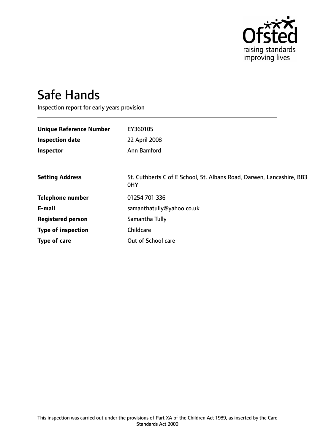

# Safe Hands

Inspection report for early years provision

| <b>Unique Reference Number</b> | EY360105                                                                     |
|--------------------------------|------------------------------------------------------------------------------|
| <b>Inspection date</b>         | 22 April 2008                                                                |
| Inspector                      | Ann Bamford                                                                  |
|                                |                                                                              |
| <b>Setting Address</b>         | St. Cuthberts C of E School, St. Albans Road, Darwen, Lancashire, BB3<br>0HY |
| <b>Telephone number</b>        | 01254 701 336                                                                |
| E-mail                         | samanthatully@yahoo.co.uk                                                    |
| <b>Registered person</b>       | Samantha Tully                                                               |
| <b>Type of inspection</b>      | Childcare                                                                    |
| Type of care                   | Out of School care                                                           |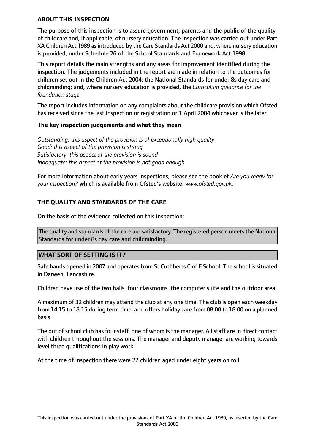### **ABOUT THIS INSPECTION**

The purpose of this inspection is to assure government, parents and the public of the quality of childcare and, if applicable, of nursery education. The inspection was carried out under Part XA Children Act 1989 as introduced by the Care Standards Act 2000 and, where nursery education is provided, under Schedule 26 of the School Standards and Framework Act 1998.

This report details the main strengths and any areas for improvement identified during the inspection. The judgements included in the report are made in relation to the outcomes for children set out in the Children Act 2004; the National Standards for under 8s day care and childminding; and, where nursery education is provided, the *Curriculum guidance for the foundation stage.*

The report includes information on any complaints about the childcare provision which Ofsted has received since the last inspection or registration or 1 April 2004 whichever is the later.

### **The key inspection judgements and what they mean**

*Outstanding: this aspect of the provision is of exceptionally high quality Good: this aspect of the provision is strong Satisfactory: this aspect of the provision is sound Inadequate: this aspect of the provision is not good enough*

For more information about early years inspections, please see the booklet *Are you ready for your inspection?* which is available from Ofsted's website: *www.ofsted.gov.uk.*

### **THE QUALITY AND STANDARDS OF THE CARE**

On the basis of the evidence collected on this inspection:

The quality and standards of the care are satisfactory. The registered person meets the National Standards for under 8s day care and childminding.

### **WHAT SORT OF SETTING IS IT?**

Safe hands opened in 2007 and operates from St Cuthberts C of E School. The school is situated in Darwen, Lancashire.

Children have use of the two halls, four classrooms, the computer suite and the outdoor area.

A maximum of 32 children may attend the club at any one time. The club is open each weekday from 14.15 to 18.15 during term time, and offers holiday care from 08.00 to 18.00 on a planned basis.

The out of school club has four staff, one of whom is the manager. All staff are in direct contact with children throughout the sessions. The manager and deputy manager are working towards level three qualifications in play work.

At the time of inspection there were 22 children aged under eight years on roll.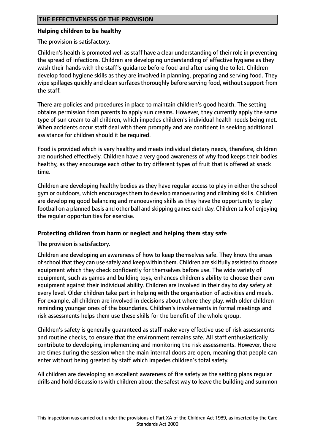## **Helping children to be healthy**

The provision is satisfactory.

Children's health is promoted well as staff have a clear understanding of their role in preventing the spread of infections. Children are developing understanding of effective hygiene as they wash their hands with the staff's guidance before food and after using the toilet. Children develop food hygiene skills as they are involved in planning, preparing and serving food. They wipe spillages quickly and clean surfaces thoroughly before serving food, without support from the staff.

There are policies and procedures in place to maintain children's good health. The setting obtains permission from parents to apply sun creams. However, they currently apply the same type of sun cream to all children, which impedes children's individual health needs being met. When accidents occur staff deal with them promptly and are confident in seeking additional assistance for children should it be required.

Food is provided which is very healthy and meets individual dietary needs, therefore, children are nourished effectively. Children have a very good awareness of why food keeps their bodies healthy, as they encourage each other to try different types of fruit that is offered at snack time.

Children are developing healthy bodies as they have regular access to play in either the school gym or outdoors, which encourages them to develop manoeuvring and climbing skills. Children are developing good balancing and manoeuvring skills as they have the opportunity to play football on a planned basis and other ball and skipping games each day. Children talk of enjoying the regular opportunities for exercise.

# **Protecting children from harm or neglect and helping them stay safe**

The provision is satisfactory.

Children are developing an awareness of how to keep themselves safe. They know the areas of school that they can use safely and keep within them. Children are skilfully assisted to choose equipment which they check confidently for themselves before use. The wide variety of equipment, such as games and building toys, enhances children's ability to choose their own equipment against their individual ability. Children are involved in their day to day safety at every level. Older children take part in helping with the organisation of activities and meals. For example, all children are involved in decisions about where they play, with older children reminding younger ones of the boundaries. Children's involvements in formal meetings and risk assessments helps them use these skills for the benefit of the whole group.

Children's safety is generally guaranteed as staff make very effective use of risk assessments and routine checks, to ensure that the environment remains safe. All staff enthusiastically contribute to developing, implementing and monitoring the risk assessments. However, there are times during the session when the main internal doors are open, meaning that people can enter without being greeted by staff which impedes children's total safety.

All children are developing an excellent awareness of fire safety as the setting plans regular drills and hold discussions with children about the safest way to leave the building and summon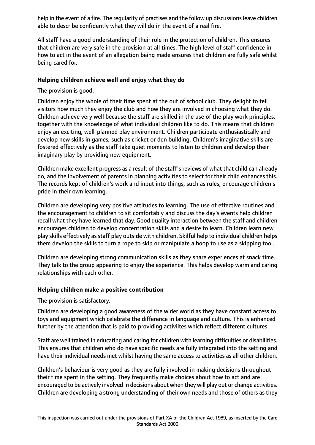help in the event of a fire. The regularity of practises and the follow up discussions leave children able to describe confidently what they will do in the event of a real fire.

All staff have a good understanding of their role in the protection of children. This ensures that children are very safe in the provision at all times. The high level of staff confidence in how to act in the event of an allegation being made ensures that children are fully safe whilst being cared for.

## **Helping children achieve well and enjoy what they do**

The provision is good.

Children enjoy the whole of their time spent at the out of school club. They delight to tell visitors how much they enjoy the club and how they are involved in choosing what they do. Children achieve very well because the staff are skilled in the use of the play work principles, together with the knowledge of what individual children like to do. This means that children enjoy an exciting, well-planned play environment. Children participate enthusiastically and develop new skills in games, such as cricket or den building. Children's imaginative skills are fostered effectively as the staff take quiet moments to listen to children and develop their imaginary play by providing new equipment.

Children make excellent progress as a result of the staff's reviews of what that child can already do, and the involvement of parents in planning activities to select for their child enhances this. The records kept of children's work and input into things, such as rules, encourage children's pride in their own learning.

Children are developing very positive attitudes to learning. The use of effective routines and the encouragement to children to sit comfortably and discuss the day's events help children recall what they have learned that day. Good quality interaction between the staff and children encourages children to develop concentration skills and a desire to learn. Children learn new play skills effectively as staff play outside with children. Skilful help to individual children helps them develop the skills to turn a rope to skip or manipulate a hoop to use as a skipping tool.

Children are developing strong communication skills as they share experiences at snack time. They talk to the group appearing to enjoy the experience. This helps develop warm and caring relationships with each other.

# **Helping children make a positive contribution**

The provision is satisfactory.

Children are developing a good awareness of the wider world as they have constant access to toys and equipment which celebrate the difference in language and culture. This is enhanced further by the attention that is paid to providing activiites which reflect different cultures.

Staff are well trained in educating and caring for children with learning difficulties or disabilities. This ensures that children who do have specific needs are fully integrated into the setting and have their individual needs met whilst having the same access to activities as all other children.

Children's behaviour is very good as they are fully involved in making decisions throughout their time spent in the setting. They frequently make choices about how to act and are encouraged to be actively involved in decisions about when they will play out or change activities. Children are developing a strong understanding of their own needs and those of others as they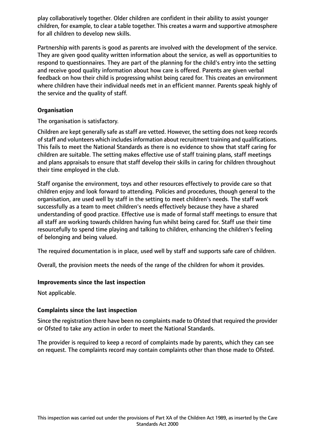play collaboratively together. Older children are confident in their ability to assist younger children, for example, to clear a table together. This creates a warm and supportive atmosphere for all children to develop new skills.

Partnership with parents is good as parents are involved with the development of the service. They are given good quality written information about the service, as well as opportunities to respond to questionnaires. They are part of the planning for the child's entry into the setting and receive good quality information about how care is offered. Parents are given verbal feedback on how their child is progressing whilst being cared for. This creates an environment where children have their individual needs met in an efficient manner. Parents speak highly of the service and the quality of staff.

# **Organisation**

The organisation is satisfactory.

Children are kept generally safe as staff are vetted. However, the setting does not keep records of staff and volunteers which includes information about recruitment training and qualifications. This fails to meet the National Standards as there is no evidence to show that staff caring for children are suitable. The setting makes effective use of staff training plans, staff meetings and plans appraisals to ensure that staff develop their skills in caring for children throughout their time employed in the club.

Staff organise the environment, toys and other resources effectively to provide care so that children enjoy and look forward to attending. Policies and procedures, though general to the organisation, are used well by staff in the setting to meet children's needs. The staff work successfully as a team to meet children's needs effectively because they have a shared understanding of good practice. Effective use is made of formal staff meetings to ensure that all staff are working towards children having fun whilst being cared for. Staff use their time resourcefully to spend time playing and talking to children, enhancing the children's feeling of belonging and being valued.

The required documentation is in place, used well by staff and supports safe care of children.

Overall, the provision meets the needs of the range of the children for whom it provides.

### **Improvements since the last inspection**

Not applicable.

# **Complaints since the last inspection**

Since the registration there have been no complaints made to Ofsted that required the provider or Ofsted to take any action in order to meet the National Standards.

The provider is required to keep a record of complaints made by parents, which they can see on request. The complaints record may contain complaints other than those made to Ofsted.